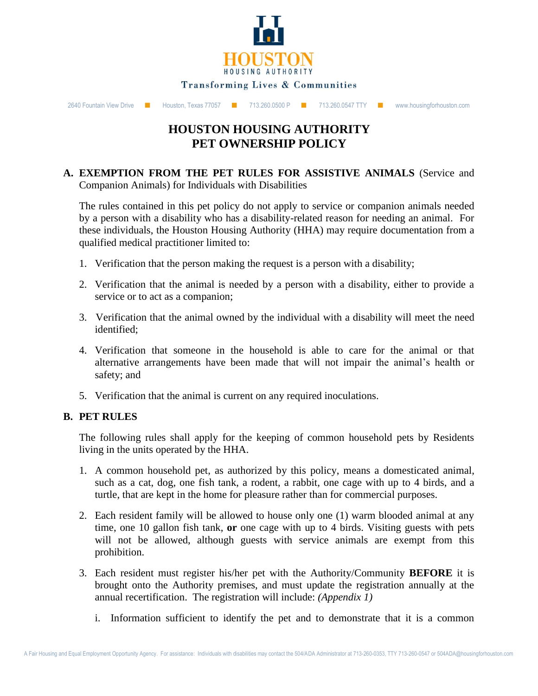

# **HOUSTON HOUSING AUTHORITY PET OWNERSHIP POLICY**

#### **A. EXEMPTION FROM THE PET RULES FOR ASSISTIVE ANIMALS** (Service and Companion Animals) for Individuals with Disabilities

The rules contained in this pet policy do not apply to service or companion animals needed by a person with a disability who has a disability-related reason for needing an animal. For these individuals, the Houston Housing Authority (HHA) may require documentation from a qualified medical practitioner limited to:

- 1. Verification that the person making the request is a person with a disability;
- 2. Verification that the animal is needed by a person with a disability, either to provide a service or to act as a companion;
- 3. Verification that the animal owned by the individual with a disability will meet the need identified;
- 4. Verification that someone in the household is able to care for the animal or that alternative arrangements have been made that will not impair the animal's health or safety; and
- 5. Verification that the animal is current on any required inoculations.

#### **B. PET RULES**

The following rules shall apply for the keeping of common household pets by Residents living in the units operated by the HHA.

- 1. A common household pet, as authorized by this policy, means a domesticated animal, such as a cat, dog, one fish tank, a rodent, a rabbit, one cage with up to 4 birds, and a turtle, that are kept in the home for pleasure rather than for commercial purposes.
- 2. Each resident family will be allowed to house only one (1) warm blooded animal at any time, one 10 gallon fish tank, **or** one cage with up to 4 birds. Visiting guests with pets will not be allowed, although guests with service animals are exempt from this prohibition.
- 3. Each resident must register his/her pet with the Authority/Community **BEFORE** it is brought onto the Authority premises, and must update the registration annually at the annual recertification. The registration will include: *(Appendix 1)*
	- i. Information sufficient to identify the pet and to demonstrate that it is a common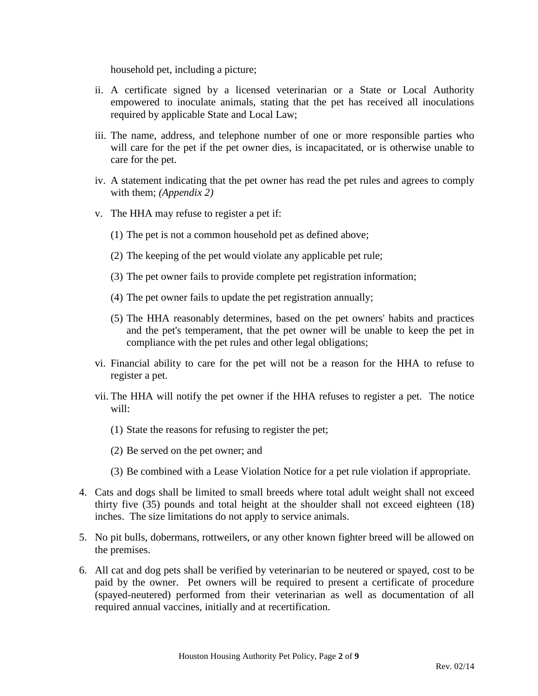household pet, including a picture;

- ii. A certificate signed by a licensed veterinarian or a State or Local Authority empowered to inoculate animals, stating that the pet has received all inoculations required by applicable State and Local Law;
- iii. The name, address, and telephone number of one or more responsible parties who will care for the pet if the pet owner dies, is incapacitated, or is otherwise unable to care for the pet.
- iv. A statement indicating that the pet owner has read the pet rules and agrees to comply with them; *(Appendix 2)*
- v. The HHA may refuse to register a pet if:
	- (1) The pet is not a common household pet as defined above;
	- (2) The keeping of the pet would violate any applicable pet rule;
	- (3) The pet owner fails to provide complete pet registration information;
	- (4) The pet owner fails to update the pet registration annually;
	- (5) The HHA reasonably determines, based on the pet owners' habits and practices and the pet's temperament, that the pet owner will be unable to keep the pet in compliance with the pet rules and other legal obligations;
- vi. Financial ability to care for the pet will not be a reason for the HHA to refuse to register a pet.
- vii. The HHA will notify the pet owner if the HHA refuses to register a pet. The notice will:
	- (1) State the reasons for refusing to register the pet;
	- (2) Be served on the pet owner; and
	- (3) Be combined with a Lease Violation Notice for a pet rule violation if appropriate.
- 4. Cats and dogs shall be limited to small breeds where total adult weight shall not exceed thirty five (35) pounds and total height at the shoulder shall not exceed eighteen (18) inches. The size limitations do not apply to service animals.
- 5. No pit bulls, dobermans, rottweilers, or any other known fighter breed will be allowed on the premises.
- 6. All cat and dog pets shall be verified by veterinarian to be neutered or spayed, cost to be paid by the owner. Pet owners will be required to present a certificate of procedure (spayed-neutered) performed from their veterinarian as well as documentation of all required annual vaccines, initially and at recertification.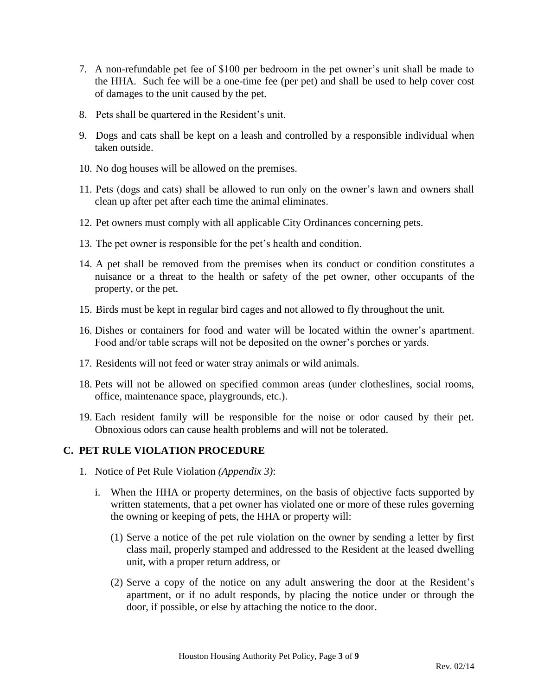- 7. A non-refundable pet fee of \$100 per bedroom in the pet owner's unit shall be made to the HHA. Such fee will be a one-time fee (per pet) and shall be used to help cover cost of damages to the unit caused by the pet.
- 8. Pets shall be quartered in the Resident's unit.
- 9. Dogs and cats shall be kept on a leash and controlled by a responsible individual when taken outside.
- 10. No dog houses will be allowed on the premises.
- 11. Pets (dogs and cats) shall be allowed to run only on the owner's lawn and owners shall clean up after pet after each time the animal eliminates.
- 12. Pet owners must comply with all applicable City Ordinances concerning pets.
- 13. The pet owner is responsible for the pet's health and condition.
- 14. A pet shall be removed from the premises when its conduct or condition constitutes a nuisance or a threat to the health or safety of the pet owner, other occupants of the property, or the pet.
- 15. Birds must be kept in regular bird cages and not allowed to fly throughout the unit.
- 16. Dishes or containers for food and water will be located within the owner's apartment. Food and/or table scraps will not be deposited on the owner's porches or yards.
- 17. Residents will not feed or water stray animals or wild animals.
- 18. Pets will not be allowed on specified common areas (under clotheslines, social rooms, office, maintenance space, playgrounds, etc.).
- 19. Each resident family will be responsible for the noise or odor caused by their pet. Obnoxious odors can cause health problems and will not be tolerated.

### **C. PET RULE VIOLATION PROCEDURE**

- 1. Notice of Pet Rule Violation *(Appendix 3)*:
	- i. When the HHA or property determines, on the basis of objective facts supported by written statements, that a pet owner has violated one or more of these rules governing the owning or keeping of pets, the HHA or property will:
		- (1) Serve a notice of the pet rule violation on the owner by sending a letter by first class mail, properly stamped and addressed to the Resident at the leased dwelling unit, with a proper return address, or
		- (2) Serve a copy of the notice on any adult answering the door at the Resident's apartment, or if no adult responds, by placing the notice under or through the door, if possible, or else by attaching the notice to the door.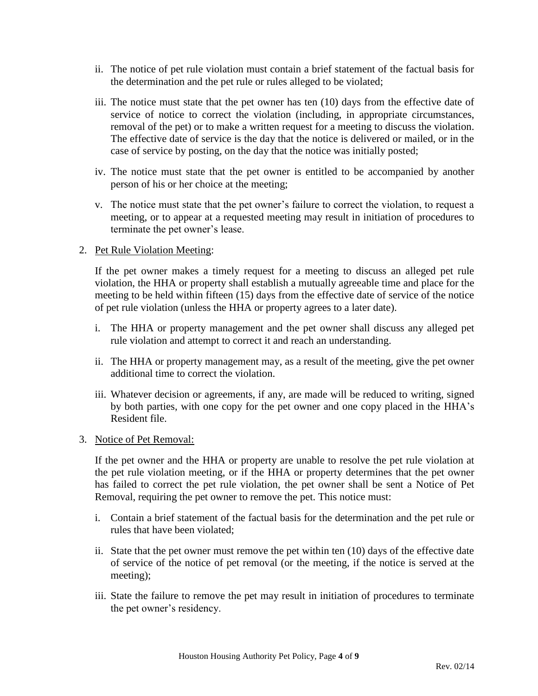- ii. The notice of pet rule violation must contain a brief statement of the factual basis for the determination and the pet rule or rules alleged to be violated;
- iii. The notice must state that the pet owner has ten (10) days from the effective date of service of notice to correct the violation (including, in appropriate circumstances, removal of the pet) or to make a written request for a meeting to discuss the violation. The effective date of service is the day that the notice is delivered or mailed, or in the case of service by posting, on the day that the notice was initially posted;
- iv. The notice must state that the pet owner is entitled to be accompanied by another person of his or her choice at the meeting;
- v. The notice must state that the pet owner's failure to correct the violation, to request a meeting, or to appear at a requested meeting may result in initiation of procedures to terminate the pet owner's lease.

#### 2. Pet Rule Violation Meeting:

If the pet owner makes a timely request for a meeting to discuss an alleged pet rule violation, the HHA or property shall establish a mutually agreeable time and place for the meeting to be held within fifteen (15) days from the effective date of service of the notice of pet rule violation (unless the HHA or property agrees to a later date).

- i. The HHA or property management and the pet owner shall discuss any alleged pet rule violation and attempt to correct it and reach an understanding.
- ii. The HHA or property management may, as a result of the meeting, give the pet owner additional time to correct the violation.
- iii. Whatever decision or agreements, if any, are made will be reduced to writing, signed by both parties, with one copy for the pet owner and one copy placed in the HHA's Resident file.

#### 3. Notice of Pet Removal:

If the pet owner and the HHA or property are unable to resolve the pet rule violation at the pet rule violation meeting, or if the HHA or property determines that the pet owner has failed to correct the pet rule violation, the pet owner shall be sent a Notice of Pet Removal, requiring the pet owner to remove the pet. This notice must:

- i. Contain a brief statement of the factual basis for the determination and the pet rule or rules that have been violated;
- ii. State that the pet owner must remove the pet within ten (10) days of the effective date of service of the notice of pet removal (or the meeting, if the notice is served at the meeting);
- iii. State the failure to remove the pet may result in initiation of procedures to terminate the pet owner's residency.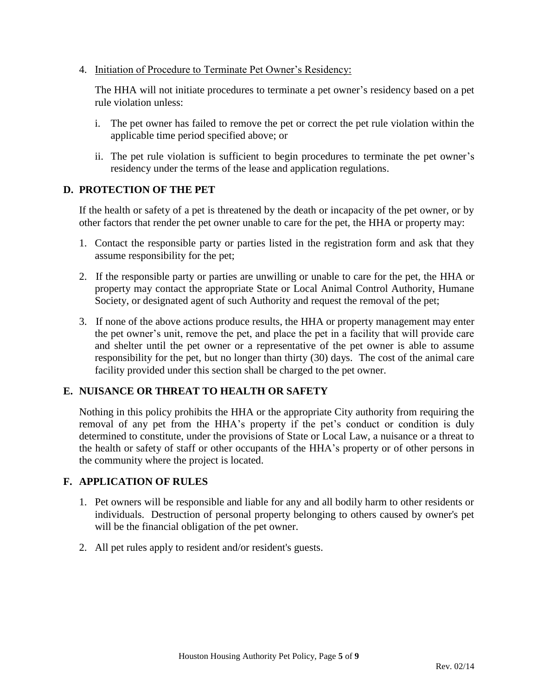4. Initiation of Procedure to Terminate Pet Owner's Residency:

The HHA will not initiate procedures to terminate a pet owner's residency based on a pet rule violation unless:

- i. The pet owner has failed to remove the pet or correct the pet rule violation within the applicable time period specified above; or
- ii. The pet rule violation is sufficient to begin procedures to terminate the pet owner's residency under the terms of the lease and application regulations.

#### **D. PROTECTION OF THE PET**

If the health or safety of a pet is threatened by the death or incapacity of the pet owner, or by other factors that render the pet owner unable to care for the pet, the HHA or property may:

- 1. Contact the responsible party or parties listed in the registration form and ask that they assume responsibility for the pet;
- 2. If the responsible party or parties are unwilling or unable to care for the pet, the HHA or property may contact the appropriate State or Local Animal Control Authority, Humane Society, or designated agent of such Authority and request the removal of the pet;
- 3. If none of the above actions produce results, the HHA or property management may enter the pet owner's unit, remove the pet, and place the pet in a facility that will provide care and shelter until the pet owner or a representative of the pet owner is able to assume responsibility for the pet, but no longer than thirty (30) days. The cost of the animal care facility provided under this section shall be charged to the pet owner.

### **E. NUISANCE OR THREAT TO HEALTH OR SAFETY**

Nothing in this policy prohibits the HHA or the appropriate City authority from requiring the removal of any pet from the HHA's property if the pet's conduct or condition is duly determined to constitute, under the provisions of State or Local Law, a nuisance or a threat to the health or safety of staff or other occupants of the HHA's property or of other persons in the community where the project is located.

#### **F. APPLICATION OF RULES**

- 1. Pet owners will be responsible and liable for any and all bodily harm to other residents or individuals. Destruction of personal property belonging to others caused by owner's pet will be the financial obligation of the pet owner.
- 2. All pet rules apply to resident and/or resident's guests.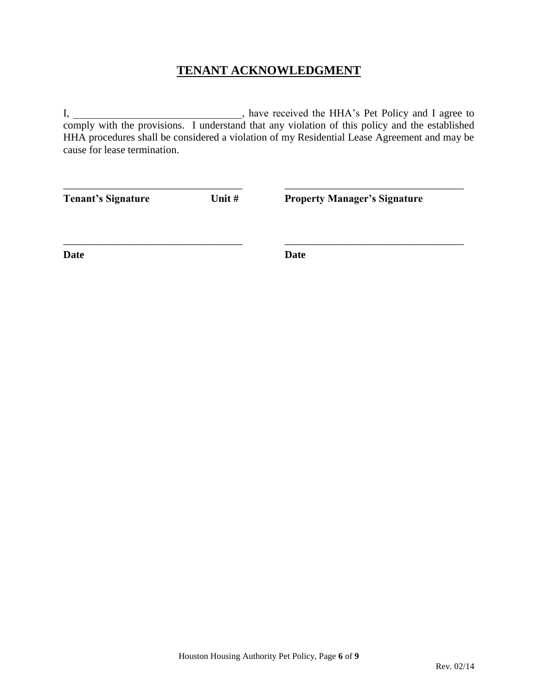# **TENANT ACKNOWLEDGMENT**

I, \_\_\_\_\_\_\_\_\_\_\_\_\_\_\_\_\_\_\_\_\_\_\_\_\_\_, have received the HHA's Pet Policy and I agree to comply with the provisions. I understand that any violation of this policy and the established HHA procedures shall be considered a violation of my Residential Lease Agreement and may be cause for lease termination.

| Unit #<br><b>Tenant's Signature</b> |  | <b>Property Manager's Signature</b> |  |
|-------------------------------------|--|-------------------------------------|--|
| <b>Date</b>                         |  | Date                                |  |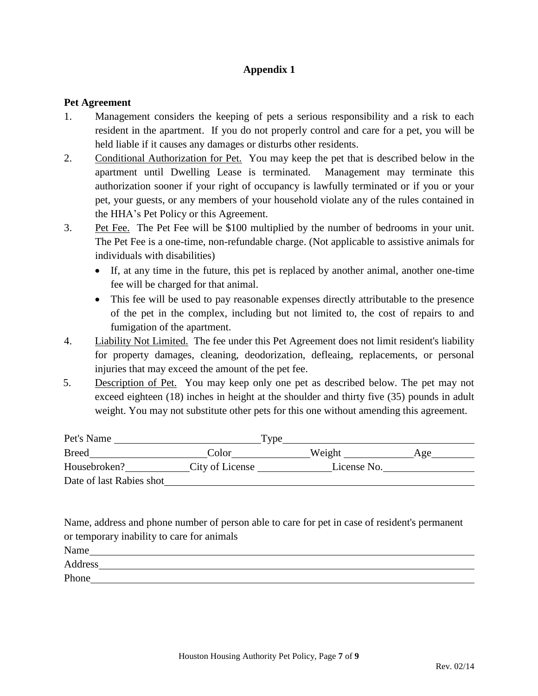## **Appendix 1**

#### **Pet Agreement**

- 1. Management considers the keeping of pets a serious responsibility and a risk to each resident in the apartment. If you do not properly control and care for a pet, you will be held liable if it causes any damages or disturbs other residents.
- 2. Conditional Authorization for Pet. You may keep the pet that is described below in the apartment until Dwelling Lease is terminated. Management may terminate this authorization sooner if your right of occupancy is lawfully terminated or if you or your pet, your guests, or any members of your household violate any of the rules contained in the HHA's Pet Policy or this Agreement.
- 3. Pet Fee. The Pet Fee will be \$100 multiplied by the number of bedrooms in your unit. The Pet Fee is a one-time, non-refundable charge. (Not applicable to assistive animals for individuals with disabilities)
	- If, at any time in the future, this pet is replaced by another animal, another one-time fee will be charged for that animal.
	- This fee will be used to pay reasonable expenses directly attributable to the presence of the pet in the complex, including but not limited to, the cost of repairs to and fumigation of the apartment.
- 4. Liability Not Limited. The fee under this Pet Agreement does not limit resident's liability for property damages, cleaning, deodorization, defleaing, replacements, or personal injuries that may exceed the amount of the pet fee.
- 5. Description of Pet. You may keep only one pet as described below. The pet may not exceed eighteen (18) inches in height at the shoulder and thirty five (35) pounds in adult weight. You may not substitute other pets for this one without amending this agreement.

| Pet's Name               |                 | I vpe       |     |
|--------------------------|-----------------|-------------|-----|
| <b>Breed</b>             | Color           | Weight      | Age |
| Housebroken?             | City of License | License No. |     |
| Date of last Rabies shot |                 |             |     |

Name, address and phone number of person able to care for pet in case of resident's permanent or temporary inability to care for animals

Name

Address

**Phone**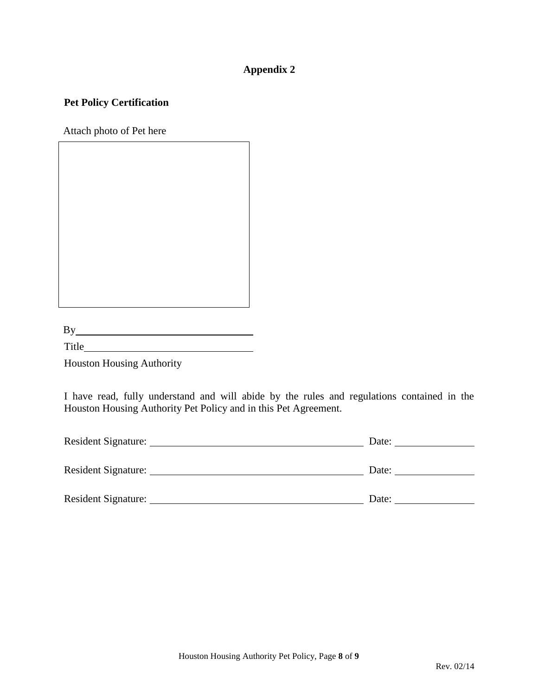# **Appendix 2**

## **Pet Policy Certification**

Attach photo of Pet here

| ٠. |  |  |  |  |
|----|--|--|--|--|
|    |  |  |  |  |

Title **The Community** Title

Houston Housing Authority

I have read, fully understand and will abide by the rules and regulations contained in the Houston Housing Authority Pet Policy and in this Pet Agreement.

| Resident Signature:        | Date: |
|----------------------------|-------|
| Resident Signature:        | Date: |
| <b>Resident Signature:</b> | Date: |